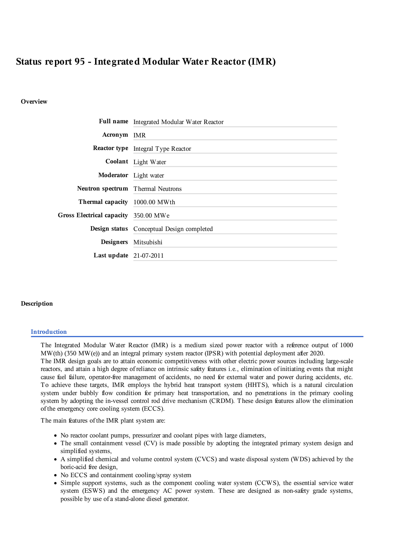# Status report 95 - Integrated Modular Water Reactor (IMR)

### Overview

|                                      | Full name Integrated Modular Water Reactor |
|--------------------------------------|--------------------------------------------|
| Acronym IMR                          |                                            |
|                                      | <b>Reactor type</b> Integral Type Reactor  |
|                                      | Coolant Light Water                        |
|                                      | Moderator Light water                      |
| Neutron spectrum Thermal Neutrons    |                                            |
| Thermal capacity 1000.00 MWth        |                                            |
| Gross Electrical capacity 350.00 MWe |                                            |
|                                      | Design status Conceptual Design completed  |
| <b>Designers</b>                     | Mitsubishi                                 |
| Last update $21-07-2011$             |                                            |

### Description

#### **Introduction**

The Integrated Modular Water Reactor (IMR) is a medium sized power reactor with a reference output of 1000 MW(th) (350 MW(e)) and an integral primary system reactor (IPSR) with potential deployment after 2020. The IMR design goals are to attain economic competitiveness with other electric power sources including large-scale reactors, and attain a high degree of reliance on intrinsic safety features i.e., elimination of initiating events that might cause fuel failure, operator-free management of accidents, no need for external water and power during accidents, etc. To achieve these targets, IMR employs the hybrid heat transport system (HHTS), which is a natural circulation system under bubbly flow condition for primary heat transportation, and no penetrations in the primary cooling system by adopting the in-vessel control rod drive mechanism (CRDM). These design features allow the elimination of the emergency core cooling system (ECCS).

The main features of the IMR plant system are:

- No reactor coolant pumps, pressurizer and coolant pipes with large diameters,
- The small containment vessel (CV) is made possible by adopting the integrated primary system design and simplified systems,
- A simplified chemical and volume control system (CVCS) and waste disposal system (WDS) achieved by the boric-acid free design,
- No ECCS and containment cooling/spray system
- Simple support systems, such as the component cooling water system (CCWS), the essential service water system (ESWS) and the emergency AC power system. These are designed as non-safety grade systems, possible by use of a stand-alone diesel generator.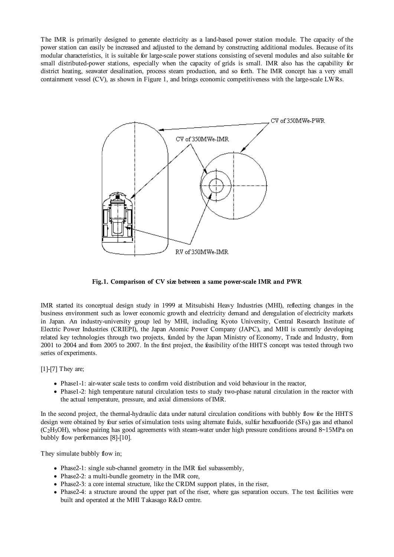The IMR is primarily designed to generate electricity as a land-based power station module. The capacity of the power station can easily be increased and adjusted to the demand by constructing additional modules. Because of its modular characteristics, it is suitable for large-scale power stations consisting of several modules and also suitable for small distributed-power stations, especially when the capacity of grids is small. IMR also has the capability for district heating, seawater desalination, process steam production, and so forth. The IMR concept has a very small containment vessel (CV), as shown in Figure 1, and brings economic competitiveness with the large-scale LWRs.



**Fig.1. Comparison of CV size between a same power-scale IMR and PWR**

IMR started its conceptual design study in 1999 at Mitsubishi Heavy Industries (MHI), reflecting changes in the business environment such as lower economic growth and electricity demand and deregulation of electricity markets in Japan. An industry-university group led by MHI, including Kyoto University, Central Research Institute of Electric Power Industries (CRIEPI), the Japan Atomic Power Company (JAPC), and MHI is currently developing related key technologies through two projects, funded by the Japan Ministry of Economy, Trade and Industry, from 2001 to 2004 and from 2005 to 2007. In the first project, the feasibility of the HHTS concept was tested through two series of experiments.

### [1]-[7] They are;

- Phase1-1: air-water scale tests to confirm void distribution and void behaviour in the reactor,
- Phase1-2: high temperature natural circulation tests to study two-phase natural circulation in the reactor with the actual temperature, pressure, and axial dimensions of IMR.

In the second project, the thermal-hydraulic data under natural circulation conditions with bubbly flow for the HHTS design were obtained by four series of simulation tests using alternate fluids, sulfur hexafluoride  $(SF_6)$  gas and ethanol (C2H5OH), whose pairing has good agreements with steam-water under high pressure conditions around 8~15MPa on bubbly flow performances [8]-[10].

They simulate bubbly flow in;

- Phase2-1: single sub-channel geometry in the IMR fuel subassembly,
- Phase2-2: a multi-bundle geometry in the IMR core,
- Phase2-3: a core internal structure, like the CRDM support plates, in the riser,
- Phase2-4: a structure around the upper part of the riser, where gas separation occurs. The test facilities were built and operated at the MHI Takasago R&D centre.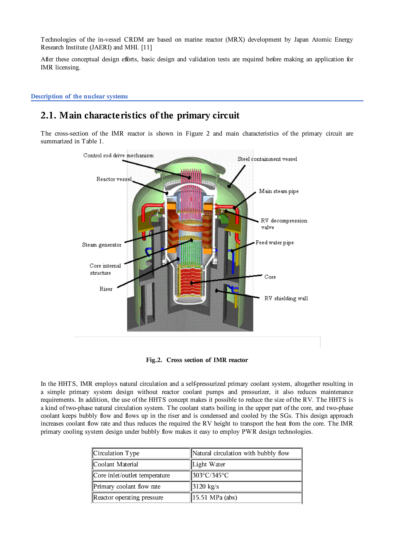Technologies of the in-vessel CRDM are based on marine reactor (MRX) development by Japan Atomic Energy Research Institute (JAERI) and MHI. [11]

After these conceptual design efforts, basic design and validation tests are required before making an application for IMR licensing.

Description of the nuclear systems

# 2.1. Main characteristics of the primary circuit

The cross-section of the IMR reactor is shown in Figure 2 and main characteristics of the primary circuit are summarized in Table 1.



Fig.2. Cross section of IMR reactor

In the HHTS, IMR employs natural circulation and a self-pressurized primary coolant system, altogether resulting in a simple primary system design without reactor coolant pumps and pressurizer, it also reduces maintenance requirements. In addition, the use of the HHTS concept makes it possible to reduce the size of the RV. The HHTS is a kind of two-phase natural circulation system. The coolant starts boiling in the upper part of the core, and two-phase coolant keeps bubbly flow and flows up in the riser and is condensed and cooled by the SGs. This design approach increases coolant flow rate and thus reduces the required the RV height to transport the heat from the core. The IMR primary cooling system design under bubbly flow makes it easy to employ PWR design technologies.

| Circulation Type              | Natural circulation with bubbly flow |
|-------------------------------|--------------------------------------|
| Coolant Material              | Light Water                          |
| Core inlet/outlet temperature | 303°C/345°C                          |
| Primary coolant flow rate     | $3120 \text{ kg/s}$                  |
| Reactor operating pressure    | $ 15.51 \text{ MPa}$ (abs)           |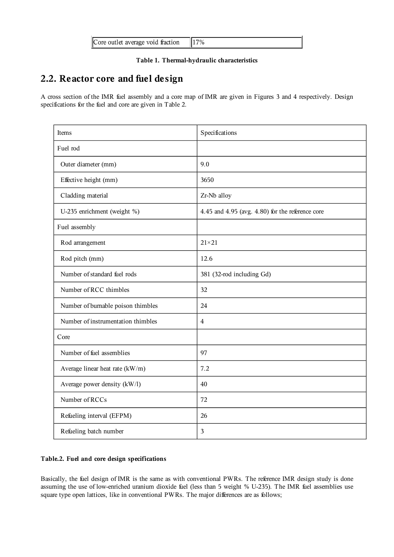| Core outlet average void fraction | 17% |
|-----------------------------------|-----|
|-----------------------------------|-----|

### Table 1. Thermal-hydraulic characteristics

# 2.2. Reactor core and fuel design

A cross section of the IMR fuel assembly and a core map of IMR are given in Figures 3 and 4 respectively. Design specifications for the fuel and core are given in Table 2.

| Items                              | Specifications                                      |
|------------------------------------|-----------------------------------------------------|
| Fuel rod                           |                                                     |
| Outer diameter (mm)                | 9.0                                                 |
| Effective height (mm)              | 3650                                                |
| Cladding material                  | Zr-Nb alloy                                         |
| U-235 enrichment (weight %)        | 4.45 and 4.95 (avg. $4.80$ ) for the reference core |
| Fuel assembly                      |                                                     |
| Rod arrangement                    | $21 \times 21$                                      |
| Rod pitch (mm)                     | 12.6                                                |
| Number of standard fuel rods       | 381 (32-rod including Gd)                           |
| Number of RCC thimbles             | 32                                                  |
| Number of burnable poison thimbles | 24                                                  |
| Number of instrumentation thimbles | $\overline{4}$                                      |
| Core                               |                                                     |
| Number of fuel assemblies          | 97                                                  |
| Average linear heat rate (kW/m)    | 7.2                                                 |
| Average power density (kW/l)       | 40                                                  |
| Number of RCCs                     | 72                                                  |
| Refueling interval (EFPM)          | 26                                                  |
| Refueling batch number             | 3                                                   |

### Table.2. Fuel and core design specifications

Basically, the fuel design of IMR is the same as with conventional PWRs. The reference IMR design study is done assuming the use of low-enriched uranium dioxide fuel (less than 5 weight % U-235). The IMR fuel assemblies use square type open lattices, like in conventional PWRs. The major differences are as follows;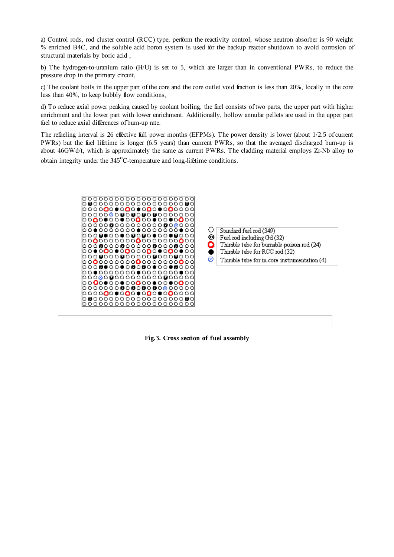a) Control rods, rod cluster control (RCC) type, perform the reactivity control, whose neutron absorber is 90 weight % enriched B4C, and the soluble acid boron system is used for the backup reactor shutdown to avoid corrosion of structural materials by boric acid ,

b) The hydrogen-to-uranium ratio (H/U) is set to 5, which are larger than in conventional PWRs, to reduce the pressure drop in the primary circuit,

c) The coolant boils in the upper part of the core and the core outlet void fraction is less than 20%, locally in the core less than 40%, to keep bubbly flow conditions,

d) To reduce axial power peaking caused by coolant boiling, the fuel consists of two parts, the upper part with higher enrichment and the lower part with lower enrichment. Additionally, hollow annular pellets are used in the upper part fuel to reduce axial differences of burn-up rate.

The refueling interval is 26 effective full power months (EFPMs). The power density is lower (about 1/2.5 of current PWRs) but the fuel lifetime is longer (6.5 years) than currrent PWRs, so that the averaged discharged burn-up is about 46GWd/t, which is approximately the same as current PWRs. The cladding material employs Zr-Nb alloy to obtain integrity under the 345°C-temperature and long-lifetime conditions.





**Fig.3. Cross section of fuel assembly**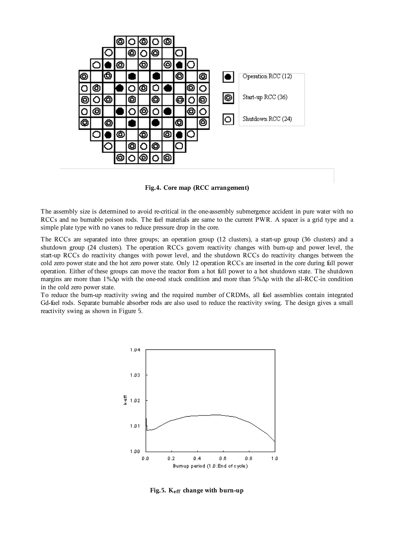

**Fig.4. Core map (RCC arrangement)**

The assembly size is determined to avoid re-critical in the one-assembly submergence accident in pure water with no RCCs and no burnable poison rods. The fuel materials are same to the current PWR. A spacer is a grid type and a simple plate type with no vanes to reduce pressure drop in the core.

The RCCs are separated into three groups; an operation group (12 clusters), a start-up group (36 clusters) and a shutdown group (24 clusters). The operation RCCs govern reactivity changes with burn-up and power level, the start-up RCCs do reactivity changes with power level, and the shutdown RCCs do reactivity changes between the cold zero power state and the hot zero power state. Only 12 operation RCCs are inserted in the core during full power operation. Either of these groups can move the reactor from a hot full power to a hot shutdown state. The shutdown margins are more than 1%Δρ with the one-rod stuck condition and more than 5%Δρ with the all-RCC-in condition in the cold zero power state.

To reduce the burn-up reactivity swing and the required number of CRDMs, all fuel assemblies contain integrated Gd-fuel rods. Separate burnable absorber rods are also used to reduce the reactivity swing. The design gives a small reactivity swing as shown in Figure 5.



**Fig.5. Keff change with burn-up**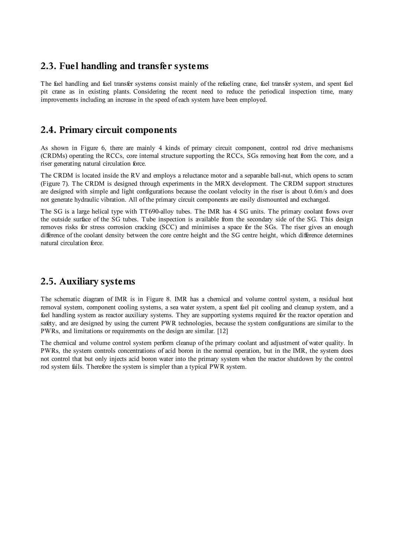## **2.3. Fuel handling and transfer systems**

The fuel handling and fuel transfer systems consist mainly of the refueling crane, fuel transfer system, and spent fuel pit crane as in existing plants. Considering the recent need to reduce the periodical inspection time, many improvements including an increase in the speed of each system have been employed.

# **2.4. Primary circuit components**

As shown in Figure 6, there are mainly 4 kinds of primary circuit component, control rod drive mechanisms (CRDMs) operating the RCCs, core internal structure supporting the RCCs, SGs removing heat from the core, and a riser generating natural circulation force.

The CRDM is located inside the RV and employs a reluctance motor and a separable ball-nut, which opens to scram (Figure 7). The CRDM is designed through experiments in the MRX development. The CRDM support structures are designed with simple and light configurations because the coolant velocity in the riser is about 0.6m/s and does not generate hydraulic vibration. All of the primary circuit components are easily dismounted and exchanged.

The SG is a large helical type with TT690-alloy tubes. The IMR has 4 SG units. The primary coolant flows over the outside surface of the SG tubes. Tube inspection is available from the secondary side of the SG. This design removes risks for stress corrosion cracking (SCC) and minimises a space for the SGs. The riser gives an enough difference of the coolant density between the core centre height and the SG centre height, which difference determines natural circulation force.

# **2.5. Auxiliary systems**

The schematic diagram of IMR is in Figure 8. IMR has a chemical and volume control system, a residual heat removal system, component cooling systems, a sea water system, a spent fuel pit cooling and cleanup system, and a fuel handling system as reactor auxiliary systems. They are supporting systems required for the reactor operation and safety, and are designed by using the current PWR technologies, because the system configurations are similar to the PWRs, and limitations or requirements on the design are similar. [12]

The chemical and volume control system perform cleanup of the primary coolant and adjustment of water quality. In PWRs, the system controls concentrations of acid boron in the normal operation, but in the IMR, the system does not control that but only injects acid boron water into the primary system when the reactor shutdown by the control rod system fails. Therefore the system is simpler than a typical PWR system.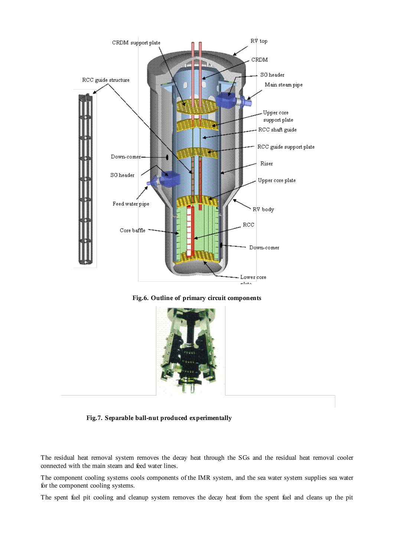

**Fig.6. Outline of primary circuit components**

![](_page_7_Picture_2.jpeg)

 **Fig.7. Separable ball-nut produced experimentally** 

The residual heat removal system removes the decay heat through the SGs and the residual heat removal cooler connected with the main steam and feed water lines.

The component cooling systems cools components of the IMR system, and the sea water system supplies sea water for the component cooling systems.

The spent fuel pit cooling and cleanup system removes the decay heat from the spent fuel and cleans up the pit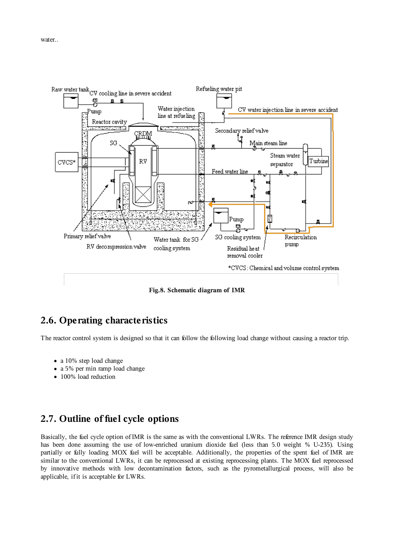![](_page_8_Figure_1.jpeg)

**Fig.8. Schematic diagram of IMR**

# **2.6. Operating characteristics**

The reactor control system is designed so that it can follow the following load change without causing a reactor trip.

- a 10% step load change
- a 5% per min ramp load change
- 100% load reduction

# **2.7. Outline of fuel cycle options**

Basically, the fuel cycle option of IMR is the same as with the conventional LWRs. The reference IMR design study has been done assuming the use of low-enriched uranium dioxide fuel (less than 5.0 weight % U-235). Using partially or fully loading MOX fuel will be acceptable. Additionally, the properties of the spent fuel of IMR are similar to the conventional LWRs, it can be reprocessed at existing reprocessing plants. The MOX fuel reprocessed by innovative methods with low decontamination factors, such as the pyrometallurgical process, will also be applicable, if it is acceptable for LWRs.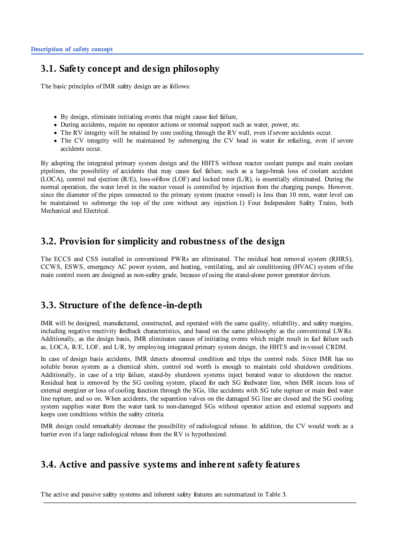# 3.1. Safety concept and design philosophy

The basic principles of IMR safety design are as follows:

- By design, eliminate initiating events that might cause fuel failure,
- During accidents, require no operator actions or external support such as water, power, etc.
- The RV integrity will be retained by core cooling through the RV wall, even if severe accidents occur.
- The CV integrity will be maintained by submerging the CV head in water for refueling, even if severe accidents occur.

By adopting the integrated primary system design and the HHTS without reactor coolant pumps and main coolant pipelines, the possibility of accidents that may cause fuel failure, such as a large-break loss of coolant accident (LOCA), control rod ejection (R/E), loss-of-flow (LOF) and locked rotor (L/R), is essentially eliminated. During the normal operation, the water level in the reactor vessel is controlled by injection from the charging pumps. However, since the diameter of the pipes connected to the primary system (reactor vessel) is less than 10 mm, water level can be maintained to submerge the top of the core without any injection.1) Four Independent Safety Trains, both Mechanical and Electrical.

# 3.2. Provision for simplicity and robustness of the design

The ECCS and CSS installed in conventional PWRs are eliminated. The residual heat removal system (RHRS), CCWS, ESWS, emergency AC power system, and heating, ventilating, and air conditioning (HVAC) system of the main control room are designed as non-safety grade, because of using the stand-alone power generator devices.

# 3.3. Structure of the defence-in-depth

IMR will be designed, manufactured, constructed, and operated with the same quality, reliability, and safety margins, including negative reactivity feedback characteristics, and based on the same philosophy as the conventional LWRs. Additionally, as the design basis, IMR eliminates causes of initiating events which might result in fuel failure such as, LOCA, R/E, LOF, and L/R, by employing integrated primary system design, the HHTS and in-vessel CRDM.

In case of design basis accidents, IMR detects abnormal condition and trips the control rods. Since IMR has no soluble boron system as a chemical shim, control rod worth is enough to maintain cold shutdown conditions. Additionally, in case of a trip failure, stand-by shutdown systems inject borated water to shutdown the reactor. Residual heat is removed by the SG cooling system, placed for each SG feedwater line, when IMR incurs loss of external energizer or loss of cooling function through the SGs, like accidents with SG tube rupture or main feed water line rupture, and so on. When accidents, the separetion valves on the damaged SG line are closed and the SG cooling system supplies water from the water tank to non-dameged SGs without operator action and external supports and keeps core conditions within the safety criteria.

IMR design could remarkably decrease the possibility of radiological release. In addition, the CV would work as a barrier even if a large radiological release from the RV is hypothesized.

# 3.4. Active and passive systems and inherent safety features

The active and passive safety systems and inherent safety features are summarized in Table 3.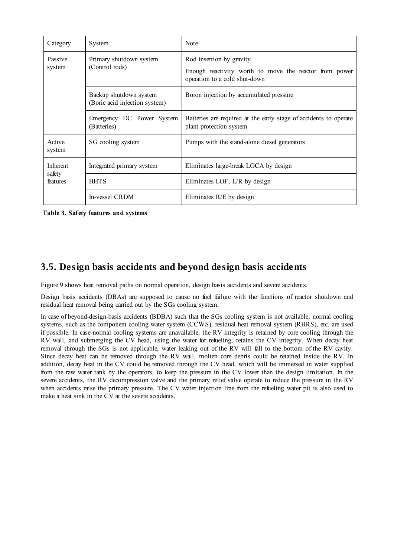| Category           | System                                                  | Note                                                                                         |
|--------------------|---------------------------------------------------------|----------------------------------------------------------------------------------------------|
| Passive<br>system  | Primary shutdown system<br>(Control rods)               | Rod insertion by gravity                                                                     |
|                    |                                                         | Enough reactivity worth to move the reactor from power<br>operation to a cold shut-down      |
|                    | Backup shutdown system<br>(Boric acid injection system) | Boron injection by accumulated pressure                                                      |
|                    | Emergency DC Power System<br>(Batteries)                | Batteries are required at the early stage of accidents to operate<br>plant protection system |
| Active<br>system   | SG cooling system                                       | Pumps with the stand-alone diesel generators                                                 |
| Inherent           | Integrated primary system                               | Eliminates large-break LOCA by design                                                        |
| safety<br>features | <b>HHTS</b>                                             | Eliminates LOF, $L/R$ by design                                                              |
|                    | In-vessel CRDM                                          | Eliminates $R/E$ by design                                                                   |

**Table 3. Safety features and systems**

# **3.5. Design basis accidents and beyond design basis accidents**

Figure 9 shows heat removal paths on normal operation, design basis accidents and severe accidents.

Design basis accidents (DBAs) are supposed to cause no fuel failure with the functions of reactor shutdown and residual heat removal being carried out by the SGs cooling system.

In case of beyond-design-basis accidents (BDBA) such that the SGs cooling system is not available, normal cooling systems, such as the component cooling water system (CCWS), residual heat removal system (RHRS), etc. are used if possible. In case normal cooling systems are unavailable, the RV integrity is retained by core cooling through the RV wall, and submerging the CV head, using the water for refueling, retains the CV integrity. When decay heat removal through the SGs is not applicable, water leaking out of the RV will fall to the bottom of the RV cavity. Since decay heat can be removed through the RV wall, molten core debris could be retained inside the RV. In addition, decay heat in the CV could be removed through the CV head, which will be immersed in water supplied from the raw water tank by the operators, to keep the pressure in the CV lower than the design limitation. In the severe accidents, the RV decompression valve and the primary relief valve operate to reduce the pressure in the RV when accidents raise the primary pressure. The CV water injection line from the refueling water pit is also used to make a heat sink in the CV at the severe accidents.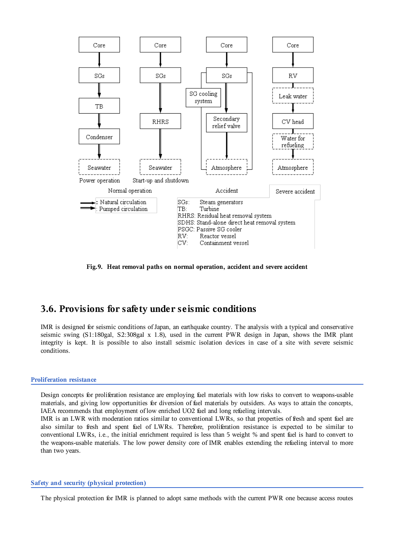![](_page_11_Figure_0.jpeg)

Fig.9. Heat removal paths on normal operation, accident and severe accident

## 3.6. Provisions for safety under seismic conditions

IMR is designed for seismic conditions of Japan, an earthquake country. The analysis with a typical and conservative seismic swing (S1:180gal, S2:308gal x 1.8), used in the current PWR design in Japan, shows the IMR plant integrity is kept. It is possible to also install seismic isolation devices in case of a site with severe seismic conditions.

#### **Proliferation resistance**

Design concepts for proliferation resistance are employing fuel materials with low risks to convert to weapons-usable materials, and giving low opportunities for diversion of fuel materials by outsiders. As ways to attain the concepts, IAEA recommends that employment of low enriched UO2 fuel and long refueling intervals.

IMR is an LWR with moderation ratios similar to conventional LWRs, so that properties of fresh and spent fuel are also similar to fresh and spent fuel of LWRs. Therefore, proliferation resistance is expected to be similar to conventional LWRs, i.e., the initial enrichment required is less than 5 weight % and spent fuel is hard to convert to the weapons-usable materials. The low power density core of IMR enables extending the refueling interval to more than two years.

### Safety and security (physical protection)

The physical protection for IMR is planned to adopt same methods with the current PWR one because access routes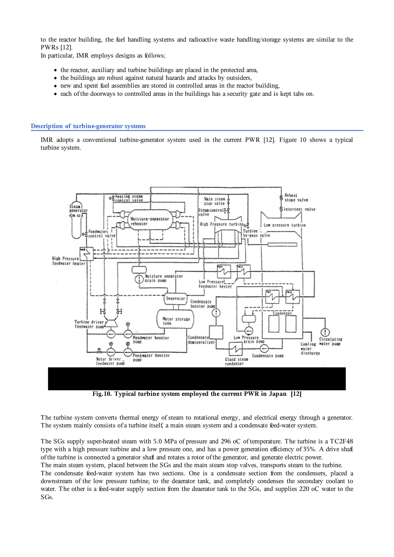to the reactor building, the fuel handling systems and radioactive waste handling/storage systems are similar to the PWRs [12].

In particular, IMR employs designs as follows;

- the reactor, auxiliary and turbine buildings are placed in the protected area.
- the buildings are robust against natural hazards and attacks by outsiders.
- new and spent fuel assemblies are stored in controlled areas in the reactor building.
- each of the doorways to controlled areas in the buildings has a security gate and is kept tabs on.

### Description of turbine-generator systems

IMR adopts a conventional turbine-generator system used in the current PWR [12]. Figure 10 shows a typical turbine system.

![](_page_12_Figure_8.jpeg)

Fig.10. Typical turbine system employed the current PWR in Japan [12]

The turbine system converts thermal energy of steam to rotational energy, and electrical energy through a generator. The system mainly consists of a turbine itself, a main steam system and a condensate feed-water system.

The SGs supply super-heated steam with 5.0 MPa of pressure and 296 oC of temperature. The turbine is a TC2F48 type with a high pressure turbine and a low pressure one, and has a power generation efficiency of 35%. A drive shaft of the turbine is connected a generator shaft and rotates a rotor of the generator, and generate electric power.

The main steam system, placed between the SGs and the main steam stop valves, transports steam to the turbine.

The condensate feed-water system has two sections. One is a condensate section from the condensers, placed a downstream of the low pressure turbine, to the deaerator tank, and completely condenses the secondary coolant to water. The other is a feed-water supply section from the deaerator tank to the SGs, and supplies 220 oC water to the SG<sub>s</sub>.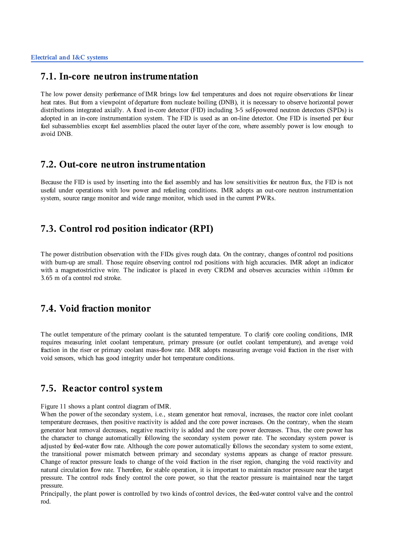### 7.1. In-core neutron instrumentation

The low power density performance of IMR brings low fuel temperatures and does not require observations for linear heat rates. But from a viewpoint of departure from nucleate boiling (DNB), it is necessary to observe horizontal power distributions integrated axially. A fixed in-core detector (FID) including 3-5 self-powered neutron detectors (SPDs) is adopted in an in-core instrumentation system. The FID is used as an on-line detector. One FID is inserted per four fuel subassemblies except fuel assemblies placed the outer layer of the core, where assembly power is low enough to avoid DNB.

### 7.2. Out-core neutron instrumentation

Because the FID is used by inserting into the fuel assembly and has low sensitivities for neutron flux, the FID is not useful under operations with low power and refueling conditions. IMR adopts an out-core neutron instrumentation system, source range monitor and wide range monitor, which used in the current PWRs.

# 7.3. Control rod position indicator (RPI)

The power distribution observation with the FIDs gives rough data. On the contrary, changes of control rod positions with burn-up are small. Those require observing control rod positions with high accuracies. IMR adopt an indicator with a magnetostrictive wire. The indicator is placed in every CRDM and observes accuracies within  $\pm 10$ mm for 3.65 m of a control rod stroke.

# 7.4. Void fraction monitor

The outlet temperature of the primary coolant is the saturated temperature. To clarify core cooling conditions, IMR requires measuring inlet coolant temperature, primary pressure (or outlet coolant temperature), and average void fraction in the riser or primary coolant mass-flow rate. IMR adopts measuring average void fraction in the riser with void sensors, which has good integrity under hot temperature conditions.

### 7.5. Reactor control system

Figure 11 shows a plant control diagram of IMR.

When the power of the secondary system, i.e., steam generator heat removal, increases, the reactor core inlet coolant temperature decreases, then positive reactivity is added and the core power increases. On the contrary, when the steam generator heat removal decreases, negative reactivity is added and the core power decreases. Thus, the core power has the character to change automatically following the secondary system power rate. The secondary system power is adjusted by feed-water flow rate. Although the core power automatically follows the secondary system to some extent, the transitional power mismatch between primary and secondary systems appears as change of reactor pressure. Change of reactor pressure leads to change of the void fraction in the riser region, changing the void reactivity and natural circulation flow rate. Therefore, for stable operation, it is important to maintain reactor pressure near the target pressure. The control rods finely control the core power, so that the reactor pressure is maintained near the target pressure.

Principally, the plant power is controlled by two kinds of control devices, the feed-water control valve and the control  $rod$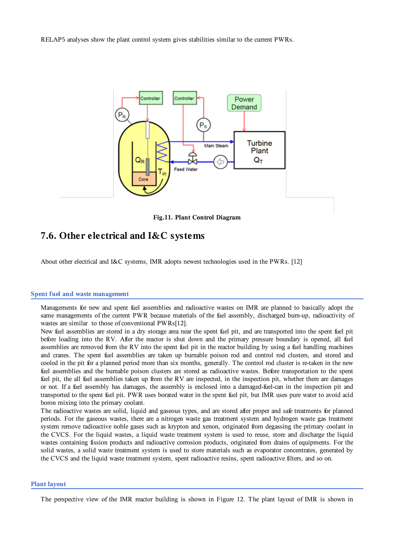RELAP5 analyses show the plant control system gives stabilities similar to the current PWRs.

![](_page_14_Figure_1.jpeg)

Fig.11. Plant Control Diagram

## 7.6. Other electrical and I&C systems

About other electrical and I&C systems, IMR adopts newest technologies used in the PWRs. [12]

### Spent fuel and waste management

Managements for new and spent fuel assemblies and radioactive wastes on IMR are planned to basically adopt the same managements of the current PWR because materials of the fuel assembly, discharged burn-up, radioactivity of wastes are similar to those of conventional PWRs[12].

New fuel assemblies are stored in a dry storage area near the spent fuel pit, and are transported into the spent fuel pit before loading into the RV. After the reactor is shut down and the primary pressure boundary is opened, all fuel assemblies are removed from the RV into the spent fuel pit in the reactor building by using a fuel handling machines and cranes. The spent fuel assemblies are taken up burnable poison rod and control rod clusters, and stored and cooled in the pit for a planned period more than six months, generally. The control rod cluster is re-taken in the new fuel assemblies and the burnable poison clusters are stored as radioactive wastes. Before transportation to the spent fuel pit, the all fuel assemblies taken up from the RV are inspected, in the inspection pit, whether there are damages or not. If a fuel assembly has damages, the assembly is enclosed into a damaged-fuel-can in the inspection pit and transported to the spent fuel pit. PWR uses borated water in the spent fuel pit, but IMR uses pure water to avoid acid boron mixing into the primary coolant.

The radioactive wastes are solid, liquid and gaseous types, and are stored after proper and safe treatments for planned periods. For the gaseous wastes, there are a nitrogen waste gas treatment system and hydrogen waste gas treatment system remove radioactive noble gases such as krypton and xenon, originated from degassing the primary coolant in the CVCS. For the liquid wastes, a liquid waste treatment system is used to reuse, store and discharge the liquid wastes containing fission products and radioactive corrosion products, originated from drains of equipments. For the solid wastes, a solid waste treatment system is used to store materials such as evaporator concentrates, generated by the CVCS and the liquid waste treatment system, spent radioactive resins, spent radioactive filters, and so on.

#### **Plant layout**

The perspective view of the IMR reactor building is shown in Figure 12. The plant layout of IMR is shown in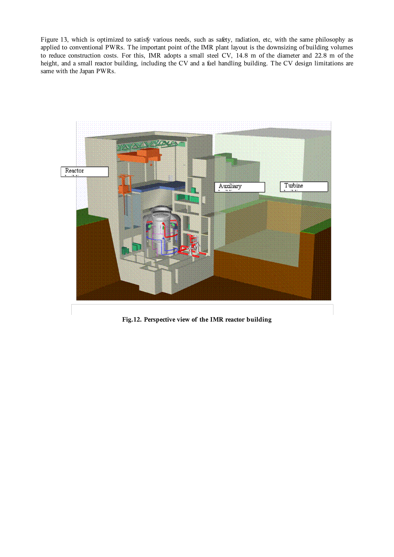Figure 13, which is optimized to satisfy various needs, such as safety, radiation, etc, with the same philosophy as applied to conventional PWRs. The important point of the IMR plant layout is the downsizing of building volumes to reduce construction costs. For this, IMR adopts a small steel CV, 14.8 m of the diameter and 22.8 m of the height, and a small reactor building, including the CV and a fuel handling building. The CV design limitations are same with the Japan PWRs.

![](_page_15_Picture_1.jpeg)

**Fig.12. Perspective view of the IMR reactor building**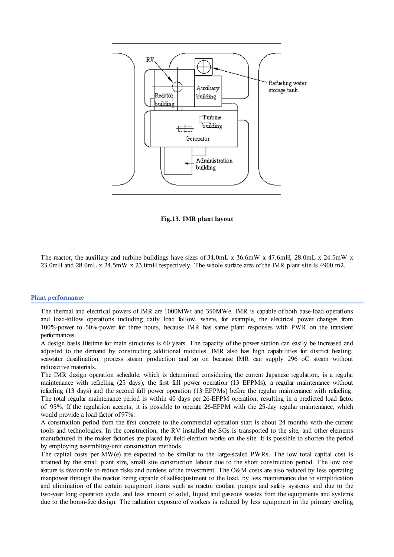![](_page_16_Figure_0.jpeg)

Fig.13. IMR plant layout

The reactor, the auxiliary and turbine buildings have sizes of 34.0mL x 36.6mW x 47.6mH, 28.0mL x 24.5mW x 23.0mH and 28.0mL x 24.5mW x 23.0mH respectively. The whole surface area of the IMR plant site is 4900 m2.

#### **Plant performance**

The thermal and electrical powers of IMR are 1000MWt and 350MWe. IMR is capable of both base-load operations and load-follow operations including daily load follow, where, for example, the electrical power changes from 100%-power to 50%-power for three hours, because IMR has same plant responses with PWR on the transient performances.

A design basis lifetime for main structures is 60 years. The capacity of the power station can easily be increased and adjusted to the demand by constructing additional modules. IMR also has high capabilities for district heating, seawater desalination, process steam production and so on because IMR can supply 296 oC steam without radioactive materials.

The IMR design operation schedule, which is determined considering the current Japanese regulation, is a regular maintenance with refueling (25 days), the first full power operation (13 EFPMs), a regular maintenance without refueling (13 days) and the second full power operation (13 EFPMs) before the regular maintenance with refueling. The total regular maintenance period is within 40 days per 26-EFPM operation, resulting in a predicted load factor of 95%. If the regulation accepts, it is possible to operate 26-EFPM with the 25-day regular maintenance, which would provide a load factor of 97%.

A construction period from the first concrete to the commercial operation start is about 24 months with the current tools and technologies. In the construction, the RV installed the SGs is transported to the site, and other elements manufactured in the maker factories are placed by field election works on the site. It is possible to shorten the period by employing assembling-unit construction methods.

The capital costs per MW(e) are expected to be similar to the large-scaled PWRs. The low total capital cost is attained by the small plant size, small site construction labour due to the short construction period. The low cost feature is favourable to reduce risks and burdens of the investment. The O&M costs are also reduced by less operating manpower through the reactor being capable of self-adjustment to the load, by less maintenance due to simplification and elimination of the certain equipment items such as reactor coolant pumps and safety systems and due to the two-year long operation cycle, and less amount of solid, liquid and gaseous wastes from the equipments and systems due to the boron-free design. The radiation exposure of workers is reduced by less equipment in the primary cooling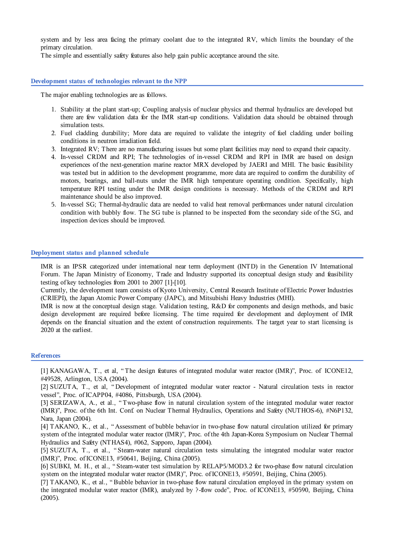system and by less area facing the primary coolant due to the integrated RV, which limits the boundary of the primary circulation.

The simple and essentially safety features also help gain public acceptance around the site.

#### Development status of technologies relevant to the NPP

The major enabling technologies are as follows.

- 1. Stability at the plant start-up; Coupling analysis of nuclear physics and thermal hydraulics are developed but there are few validation data for the IMR start-up conditions. Validation data should be obtained through simulation tests.
- 2. Fuel cladding durability; More data are required to validate the integrity of fuel cladding under boiling conditions in neutron irradiation field.
- 3. Integrated RV; There are no manufacturing issues but some plant facilities may need to expand their capacity.
- 4. In-vessel CRDM and RPI; The technologies of in-vessel CRDM and RPI in IMR are based on design experiences of the next-generation marine reactor MRX developed by JAERI and MHI. The basic feasibility was tested but in addition to the development programme, more data are required to confirm the durability of motors, bearings, and ball-nuts under the IMR high temperature operating condition. Specifically, high temperature RPI testing under the IMR design conditions is necessary. Methods of the CRDM and RPI maintenance should be also improved.
- 5. In-vessel SG; Thermal-hydraulic data are needed to valid heat removal performances under natural circulation condition with bubbly flow. The SG tube is planned to be inspected from the secondary side of the SG, and inspection devices should be improved.

#### Deployment status and planned schedule

IMR is an IPSR categorized under international near term deployment (INTD) in the Generation IV International Forum. The Japan Ministry of Economy, Trade and Industry supported its conceptual design study and feasibility testing of key technologies from 2001 to 2007 [1]-[10].

Currently, the development team consists of Kyoto University, Central Research Institute of Electric Power Industries (CRIEPI), the Japan Atomic Power Company (JAPC), and Mitsubishi Heavy Industries (MHI).

IMR is now at the conceptual design stage. Validation testing, R&D for components and design methods, and basic design development are required before licensing. The time required for development and deployment of IMR depends on the financial situation and the extent of construction requirements. The target year to start licensing is 2020 at the earliest.

#### **References**

[1] KANAGAWA, T., et al, "The design features of integrated modular water reactor (IMR)", Proc. of ICONE12, #49528, Arlington, USA (2004).

[2] SUZUTA, T., et al, "Development of integrated modular water reactor - Natural circulation tests in reactor vessel", Proc. of ICAPP04, #4086, Pittsburgh, USA (2004).

[4] TAKANO, K., et al., "Assessment of bubble behavior in two-phase flow natural circulation utilized for primary system of the integrated modular water reactor (IMR)", Proc. of the 4th Japan-Korea Symposium on Nuclear Thermal Hydraulics and Safety (NTHAS4), #062, Sapporo, Japan (2004).

[5] SUZUTA, T., et al., "Steam-water natural circulation tests simulating the integrated modular water reactor (IMR)", Proc. of ICONE13, #50641, Beijing, China (2005).

[6] SUBKI, M. H., et al., "Steam-water test simulation by RELAP5/MOD3.2 for two-phase flow natural circulation system on the integrated modular water reactor (IMR)", Proc. of ICONE13, #50591, Beijing, China (2005).

[7] TAKANO, K., et al., "Bubble behavior in two-phase flow natural circulation employed in the primary system on the integrated modular water reactor (IMR), analyzed by ?-flow code", Proc. of ICONE13, #50590, Beijing, China  $(2005)$ .

<sup>[3]</sup> SERIZAWA, A., et al., "Two-phase flow in natural circulation system of the integrated modular water reactor (IMR)". Proc. of the 6th Int. Conf. on Nuclear Thermal Hydraulics. Operations and Safety (NUTHOS-6), #N6P132. Nara, Japan (2004).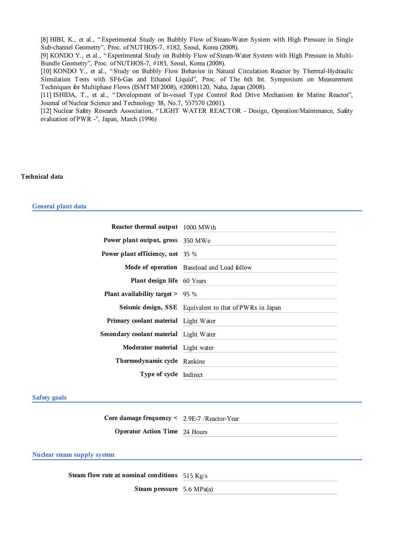[8] HIBI, K., et al., "Experimental Study on Bubbly Flow of Steam-Water System with High Pressure in Single Sub-channel Geometry", Proc. of NUTHOS-7, #182, Seoul, Korea (2008).

[9] KONDO Y., et al., "Experimental Study on Bubbly Flow of Steam-Water System with High Pressure in Multi-Bundle Geometry", Proc. of NUTHOS-7, #183, Seoul, Korea (2008).

[10] KONDO Y., et al., "Study on Bubbly Flow Behavior in Natural Circulation Reactor by Thermal-Hydraulic Simulation Tests with SF6-Gas and Ethanol Liquid", Proc. of The 6th Int. Symposium on Measurement Techniques for Multiphase Flows (ISMTMF2008), #20081120, Naha, Japan (2008).

[11] ISHIDA, T., et al., "Development of In-vessel Type Control Rod Drive Mechanism for Marine Reactor", Journal of Nuclear Science and Technology 38, No.7, 557570 (2001).

[12] Nuclear Safety Research Association, "LIGHT WATER REACTOR - Design, Operation/Maintenance, Safety evaluation of PWR -", Japan, March (1996)

#### **Technical data**

#### General plant data

| <b>Reactor thermal output</b> 1000 MWth       |                                                         |
|-----------------------------------------------|---------------------------------------------------------|
| <b>Power plant output, gross</b> 350 MWe      |                                                         |
| Power plant efficiency, net $35\%$            |                                                         |
|                                               | Mode of operation Baseload and Load follow              |
| <b>Plant design life</b> 60 Years             |                                                         |
| <b>Plant availability target &gt;</b> 95 $\%$ |                                                         |
|                                               |                                                         |
|                                               | Seismic design, SSE Equivalent to that of PWRs in Japan |
| Primary coolant material Light Water          |                                                         |
| Secondary coolant material Light Water        |                                                         |
| Moderator material Light water                |                                                         |
| Thermodynamic cycle Rankine                   |                                                         |

#### **Safety goals**

Core damage frequency < 2.9E-7 /Reactor-Year **Operator Action Time** 24 Hours

### **Nuclear steam supply system**

Steam flow rate at nominal conditions 515 Kg/s Steam pressure 5.6 MPa(a)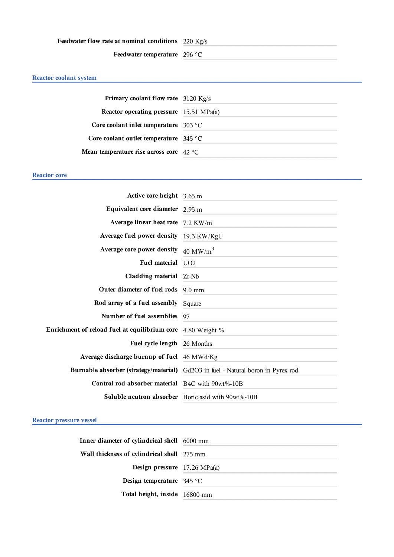### Feedwater flow rate at nominal conditions 220 Kg/s

Feedwater temperature 296 °C

### Reactor coolant system

| Primary coolant flow rate 3120 Kg/s              |  |
|--------------------------------------------------|--|
| Reactor operating pressure 15.51 MPa(a)          |  |
| Core coolant inlet temperature $303$ °C          |  |
| Core coolant outlet temperature $345^{\circ}$ C  |  |
| Mean temperature rise across core $42^{\circ}$ C |  |

### **Reactor core**

| Active core height 3.65 m                                          |                                                                                  |
|--------------------------------------------------------------------|----------------------------------------------------------------------------------|
| Equivalent core diameter 2.95 m                                    |                                                                                  |
| Average linear heat rate 7.2 KW/m                                  |                                                                                  |
| Average fuel power density 19.3 KW/KgU                             |                                                                                  |
| Average core power density $40 \text{ MW/m}^3$                     |                                                                                  |
| Fuel material UO2                                                  |                                                                                  |
| Cladding material $Zr-Nb$                                          |                                                                                  |
| Outer diameter of fuel rods 9.0 mm                                 |                                                                                  |
| <b>Rod array of a fuel assembly</b> Square                         |                                                                                  |
| Number of fuel assemblies                                          | 97                                                                               |
| <b>Enrichment of reload fuel at equilibrium core</b> 4.80 Weight % |                                                                                  |
| Fuel cycle length 26 Months                                        |                                                                                  |
| Average discharge burnup of fuel 46 MWd/Kg                         |                                                                                  |
|                                                                    | Burnable absorber (strategy/material) Gd2O3 in fuel - Natural boron in Pyrex rod |
| Control rod absorber material B4C with 90wt%-10B                   |                                                                                  |
|                                                                    | Soluble neutron absorber Boric asid with 90wt%-10B                               |

### Reactor pressure vessel

| Inner diameter of cylindrical shell 6000 mm |
|---------------------------------------------|
| Wall thickness of cylindrical shell 275 mm  |
| Design pressure $17.26 \text{ MPa(a)}$      |
| <b>Design temperature</b> 345 °C            |
| Total height, inside 16800 mm               |
|                                             |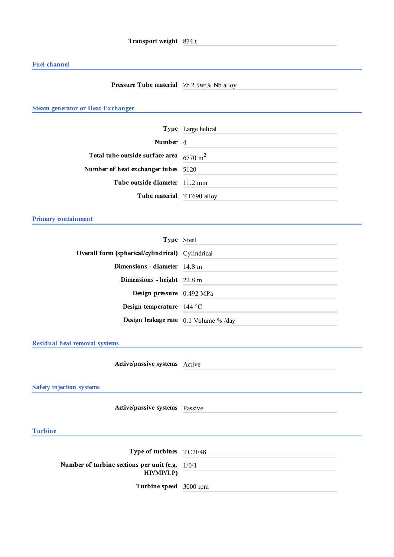### **Fuel channel**

### **Pressure Tube material** Zr 2.5wt% Nb alloy

### **Steam generator or Heat Exchanger**

|                                                    | <b>Type</b> Large helical |
|----------------------------------------------------|---------------------------|
| Number 4                                           |                           |
| Total tube outside surface area $6770 \text{ m}^2$ |                           |
| Number of heat exchanger tubes 5120                |                           |
| Tube outside diameter 11.2 mm                      |                           |
| Tube material TT690 alloy                          |                           |

### Primary containment

| Type Steel                                              |  |
|---------------------------------------------------------|--|
| <b>Overall form (spherical/cylindrical)</b> Cylindrical |  |
| <b>Dimensions - diameter</b> $14.8 \text{ m}$           |  |
| Dimensions - height $22.8 \text{ m}$                    |  |
| Design pressure 0.492 MPa                               |  |
| Design temperature $144^{\circ}$ C                      |  |
| <b>Design leakage rate</b> $0.1$ Volume % /day          |  |

Residual heat removal systems

Active/passive systems Active

Safety injection systems

Active/passive systems Passive

### **Turbine**

| Type of turbines TC2F48                                       |  |
|---------------------------------------------------------------|--|
| Number of turbine sections per unit (e.g. $1/0/1$<br>HP/MP/LP |  |
| Turbine speed 3000 rpm                                        |  |